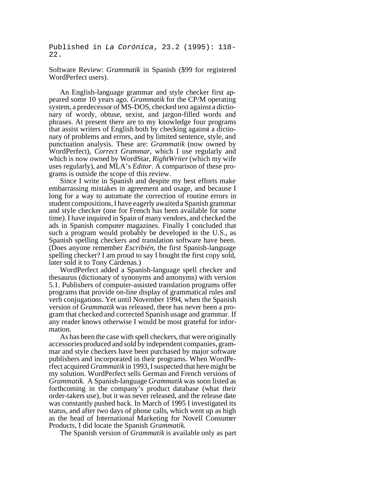Published in *La Corónica*, 23.2 (1995): 118- 22.

Software Review: *Grammatik* in Spanish (\$99 for registered WordPerfect users).

An English-language grammar and style checker first appeared some 10 years ago. *Grammatik* for the CP/M operating system, a predecessor of MS-DOS, checked text against a dictionary of wordy, obtuse, sexist, and jargon-filled words and phrases. At present there are to my knowledge four programs that assist writers of English both by checking against a dictionary of problems and errors, and by limited sentence, style, and punctuation analysis. These are: *Grammatik* (now owned by WordPerfect), *Correct Grammar*, which I use regularly and which is now owned by WordStar, *RightWriter* (which my wife uses regularly), and MLA's *Editor*. A comparison of these programs is outside the scope of this review.

Since I write in Spanish and despite my best efforts make embarrassing mistakes in agreement and usage, and because I long for a way to automate the correction of routine errors in student compositions, I have eagerly awaited a Spanish grammar and style checker (one for French has been available for some time). I have inquired in Spain of many vendors, and checked the ads in Spanish computer magazines. Finally I concluded that such a program would probably be developed in the U.S., as Spanish spelling checkers and translation software have been. (Does anyone remember *Escribién*, the first Spanish-language spelling checker? I am proud to say I bought the first copy sold, later sold it to Tony Cárdenas.)

WordPerfect added a Spanish-language spell checker and thesaurus (dictionary of synonyms and antonyms) with version 5.1. Publishers of computer-assisted translation programs offer programs that provide on-line display of grammatical rules and verb conjugations. Yet until November 1994, when the Spanish version of *Grammatik* was released, there has never been a program that checked and corrected Spanish usage and grammar. If any reader knows otherwise I would be most grateful for information.

As has been the case with spell checkers, that were originally accessories produced and sold by independent companies, grammar and style checkers have been purchased by major software publishers and incorporated in their programs. When WordPerfect acquired *Grammatik* in 1993, I suspected that here might be my solution. WordPerfect sells German and French versions of *Grammatik*. A Spanish-language *Grammatik* was soon listed as forthcoming in the company's product database (what their order-takers use), but it was never released, and the release date was constantly pushed back. In March of 1995 I investigated its status, and after two days of phone calls, which went up as high as the head of International Marketing for Novell Consumer Products, I did locate the Spanish *Grammatik*.

The Spanish version of *Grammatik* is available only as part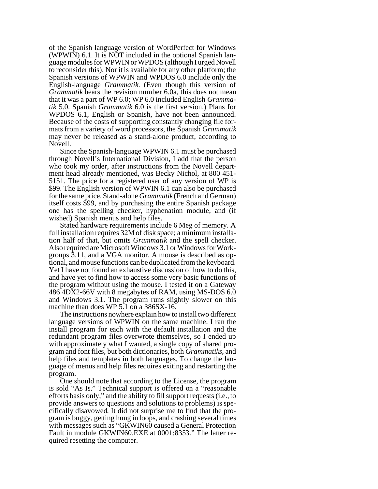of the Spanish language version of WordPerfect for Windows (WPWIN) 6.1. It is NOT included in the optional Spanish language modules for WPWIN or WPDOS (although I urged Novell to reconsider this). Nor it is available for any other platform; the Spanish versions of WPWIN and WPDOS 6.0 include only the English-language *Grammatik*. (Even though this version of *Grammatik* bears the revision number 6.0a, this does not mean that it was a part of WP 6.0; WP 6.0 included English *Grammatik* 5.0. Spanish *Grammatik* 6.0 is the first version.) Plans for WPDOS 6.1, English or Spanish, have not been announced. Because of the costs of supporting constantly changing file formats from a variety of word processors, the Spanish *Grammatik* may never be released as a stand-alone product, according to Novell.

Since the Spanish-language WPWIN 6.1 must be purchased through Novell's International Division, I add that the person who took my order, after instructions from the Novell department head already mentioned, was Becky Nichol, at 800 451- 5151. The price for a registered user of any version of WP is \$99. The English version of WPWIN 6.1 can also be purchased for the same price. Stand-alone *Grammatik*(French and German) itself costs \$99, and by purchasing the entire Spanish package one has the spelling checker, hyphenation module, and (if wished) Spanish menus and help files.

Stated hardware requirements include 6 Meg of memory. A full installation requires 32M of disk space; a minimum installation half of that, but omits *Grammatik* and the spell checker. Also required are Microsoft Windows 3.1 or Windows for Workgroups 3.11, and a VGA monitor. A mouse is described as optional, and mouse functions can be duplicated from the keyboard. Yet I have not found an exhaustive discussion of how to do this, and have yet to find how to access some very basic functions of the program without using the mouse. I tested it on a Gateway 486 4DX2-66V with 8 megabytes of RAM, using MS-DOS 6.0 and Windows 3.1. The program runs slightly slower on this machine than does WP 5.1 on a 386SX-16.

The instructions nowhere explain how to install two different language versions of WPWIN on the same machine. I ran the install program for each with the default installation and the redundant program files overwrote themselves, so I ended up with approximately what I wanted, a single copy of shared program and font files, but both dictionaries, both *Grammatiks*, and help files and templates in both languages. To change the language of menus and help files requires exiting and restarting the program.

One should note that according to the License, the program is sold "As Is." Technical support is offered on a "reasonable efforts basis only," and the ability to fill support requests (i.e., to provide answers to questions and solutions to problems) is specifically disavowed. It did not surprise me to find that the program is buggy, getting hung in loops, and crashing several times with messages such as "GKWIN60 caused a General Protection Fault in module GKWIN60.EXE at 0001:8353." The latter required resetting the computer.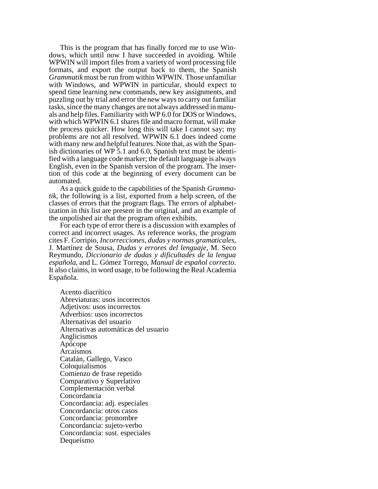This is the program that has finally forced me to use Windows, which until now I have succeeded in avoiding. While WPWIN will import files from a variety of word processing file formats, and export the output back to them, the Spanish *Grammatik* must be run from within WPWIN. Those unfamiliar with Windows, and WPWIN in particular, should expect to spend time learning new commands, new key assignments, and puzzling out by trial and error the new ways to carry out familiar tasks, since the many changes are not always addressed in manuals and help files. Familiarity with WP 6.0 for DOS or Windows, with which WPWIN 6.1 shares file and macro format, will make the process quicker. How long this will take I cannot say; my problems are not all resolved. WPWIN 6.1 does indeed come with many new and helpful features. Note that, as with the Spanish dictionaries of WP 5.1 and 6.0, Spanish text must be identified with a language code marker; the default language is always English, even in the Spanish version of the program. The insertion of this code at the beginning of every document can be automated.

As a quick guide to the capabilities of the Spanish *Grammatik*, the following is a list, exported from a help screen, of the classes of errors that the program flags. The errors of alphabetization in this list are present in the original, and an example of the unpolished air that the program often exhibits.

For each type of error there is a discussion with examples of correct and incorrect usages. As reference works, the program cites F. Corripio, *Incorrecciones, dudas y normas gramaticales*, J. Martínez de Sousa, *Dudas y errores del lenguaje*, M. Seco Reymundo, *Diccionario de dudas y dificultades de la lengua española*, and L. Gómez Torrego, *Manual de español correcto*. It also claims, in word usage, to be following the Real Academia Española.

 Acento diacrítico Abreviaturas: usos incorrectos Adjetivos: usos incorrectos Adverbios: usos incorrectos Alternativas del usuario Alternativas automáticas del usuario Anglicismos Apócope Arcaísmos Catalán, Gallego, Vasco Coloquialismos Comienzo de frase repetido Comparativo y Superlativo Complementación verbal Concordancia Concordancia: adj. especiales Concordancia: otros casos Concordancia: pronombre Concordancia: sujeto-verbo Concordancia: sust. especiales Dequeísmo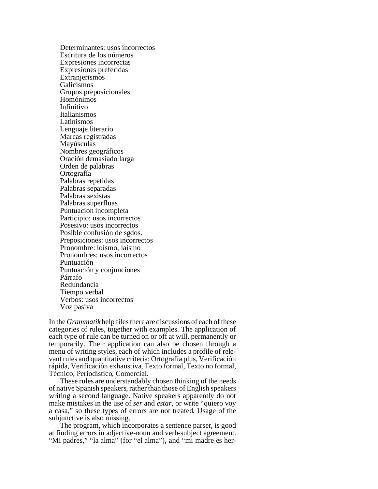Determinantes: usos incorrectos Escritura de los números Expresiones incorrectas Expresiones preferidas **Extranjerismos**  Galicismos Grupos preposicionales Homónimos Infinitivo Italianismos Latinismos Lenguaje literario Marcas registradas Mayúsculas Nombres geográficos Oración demasiado larga Orden de palabras Ortografía Palabras repetidas Palabras separadas Palabras sexistas Palabras superfluas Puntuación incompleta Participio: usos incorrectos Posesivo: usos incorrectos Posible confusión de sgdos. Preposiciones: usos incorrectos Pronombre: loísmo, laísmo Pronombres: usos incorrectos Puntuación Puntuación y conjunciones Párrafo Redundancia Tiempo verbal Verbos: usos incorrectos Voz pasiva

In the *Grammatik* help files there are discussions of each of these categories of rules, together with examples. The application of each type of rule can be turned on or off at will, permanently or temporarily. Their application can also be chosen through a menu of writing styles, each of which includes a profile of relevant rules and quantitative criteria: Ortografía plus, Verificación rápida, Verificación exhaustiva, Texto formal, Texto no formal, Técnico, Periodístico, Comercial.

These rules are understandably chosen thinking of the needs of native Spanish speakers, rather than those of English speakers writing a second language. Native speakers apparently do not make mistakes in the use of *ser* and *estar*, or write "quiero voy a casa," so these types of errors are not treated. Usage of the subjunctive is also missing.

The program, which incorporates a sentence parser, is good at finding errors in adjective-noun and verb-subject agreement. "Mi padres," "la alma" (for "el alma"), and "mi madre es her-